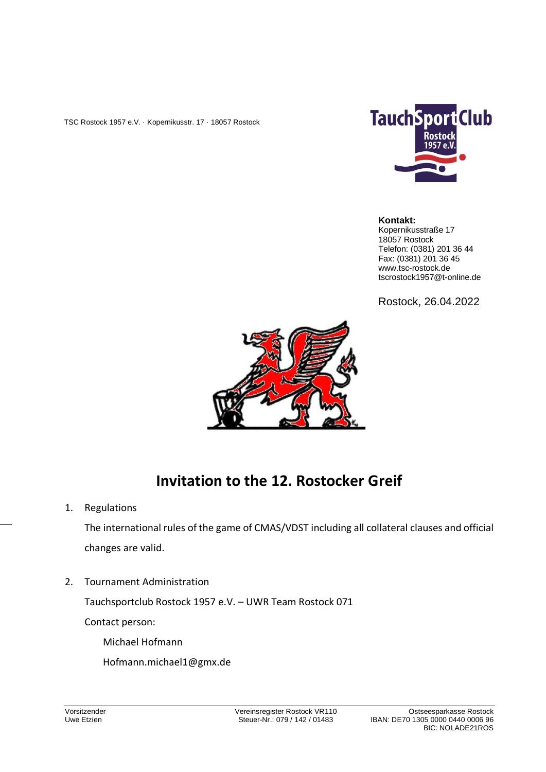TSC Rostock 1957 e.V. · Kopernikusstr. 17 · 18057 Rostock



#### **Kontakt:**

Kopernikusstraße 17 18057 Rostock Telefon: (0381) 201 36 44 Fax: (0381) 201 36 45 www.tsc-rostock.de tscrostock1957@t-online.de

Rostock, 26.04.2022



# **Invitation to the 12. Rostocker Greif**

1. Regulations

The international rules of the game of CMAS/VDST including all collateral clauses and official changes are valid.

2. Tournament Administration

Tauchsportclub Rostock 1957 e.V. – UWR Team Rostock 071

Contact person:

Michael Hofmann Hofmann.michael1@gmx.de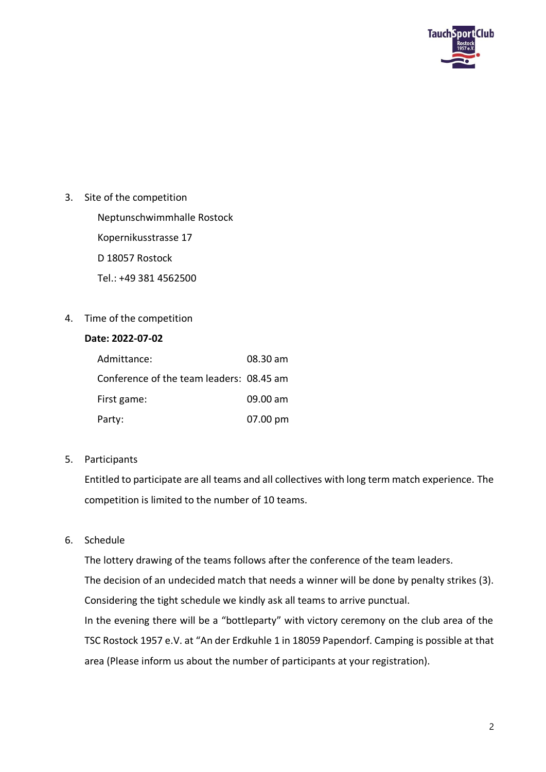

3. Site of the competition

Neptunschwimmhalle Rostock Kopernikusstrasse 17 D 18057 Rostock Tel.: +49 381 4562500

4. Time of the competition

## **Date: 2022-07-02**

| Admittance:                              | 08.30 am |
|------------------------------------------|----------|
| Conference of the team leaders: 08.45 am |          |
| First game:                              | 09.00 am |
| Party:                                   | 07.00 pm |

5. Participants

Entitled to participate are all teams and all collectives with long term match experience. The competition is limited to the number of 10 teams.

6. Schedule

The lottery drawing of the teams follows after the conference of the team leaders.

The decision of an undecided match that needs a winner will be done by penalty strikes (3). Considering the tight schedule we kindly ask all teams to arrive punctual.

In the evening there will be a "bottleparty" with victory ceremony on the club area of the TSC Rostock 1957 e.V. at "An der Erdkuhle 1 in 18059 Papendorf. Camping is possible at that area (Please inform us about the number of participants at your registration).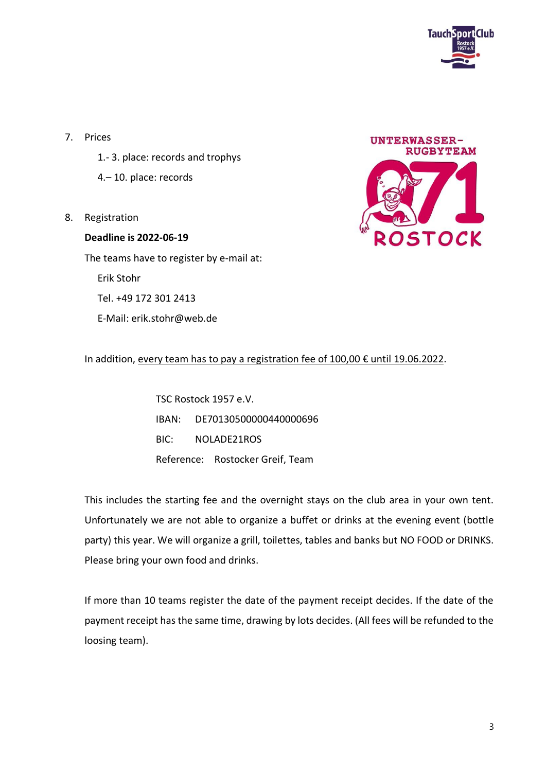

- 7. Prices
	- 1.- 3. place: records and trophys
	- 4.– 10. place: records
- 8. Registration

## **Deadline is 2022-06-19** The teams have to register by e-mail at:

Erik Stohr

Tel. +49 172 301 2413

E-Mail: erik.stohr@web.de



## In addition, every team has to pay a registration fee of 100,00 € until 19.06.2022.

TSC Rostock 1957 e.V. IBAN: DE70130500000440000696 BIC: NOLADE21ROS Reference: Rostocker Greif, Team

This includes the starting fee and the overnight stays on the club area in your own tent. Unfortunately we are not able to organize a buffet or drinks at the evening event (bottle party) this year. We will organize a grill, toilettes, tables and banks but NO FOOD or DRINKS. Please bring your own food and drinks.

If more than 10 teams register the date of the payment receipt decides. If the date of the payment receipt has the same time, drawing by lots decides. (All fees will be refunded to the loosing team).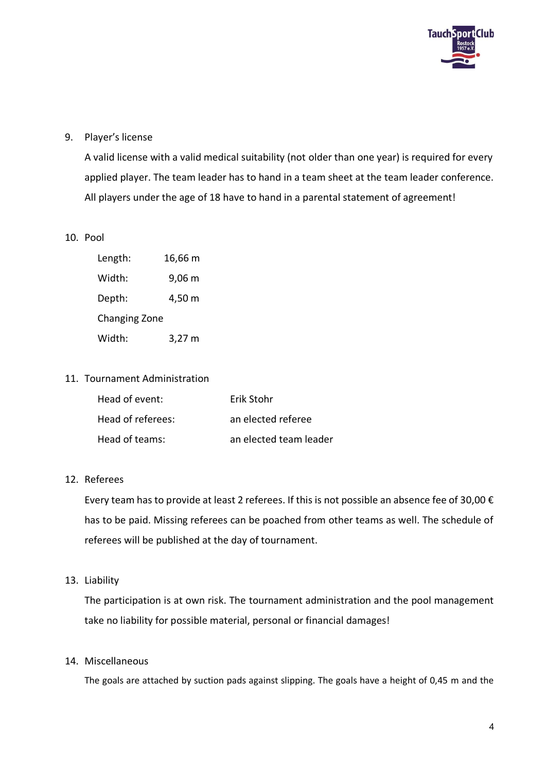

## 9. Player's license

A valid license with a valid medical suitability (not older than one year) is required for every applied player. The team leader has to hand in a team sheet at the team leader conference. All players under the age of 18 have to hand in a parental statement of agreement!

#### 10. Pool

| Length:              | 16,66 m |
|----------------------|---------|
| Width:               | 9,06 m  |
| Depth:               | 4,50 m  |
| <b>Changing Zone</b> |         |
| Width:               | 3,27 m  |

#### 11. Tournament Administration

| Head of event:    | Erik Stohr             |
|-------------------|------------------------|
| Head of referees: | an elected referee     |
| Head of teams:    | an elected team leader |

#### 12. Referees

Every team has to provide at least 2 referees. If this is not possible an absence fee of 30,00  $\epsilon$ has to be paid. Missing referees can be poached from other teams as well. The schedule of referees will be published at the day of tournament.

13. Liability

The participation is at own risk. The tournament administration and the pool management take no liability for possible material, personal or financial damages!

### 14. Miscellaneous

The goals are attached by suction pads against slipping. The goals have a height of 0,45 m and the